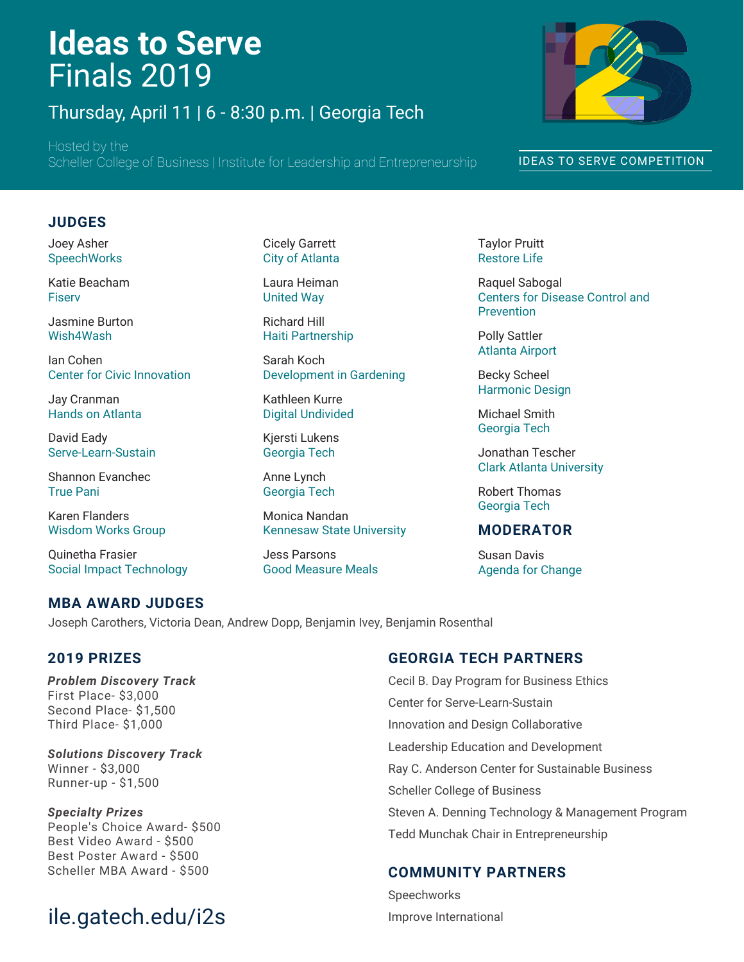# **Ideas to Serve** Finals 2019

Thursday, April 11 | 6 - 8:30 p.m. | Georgia Tech

Hosted by the Scheller College of Business | Institute for Leadership and Entrepreneurship



#### IDEAS TO SERVE COMPETITION

#### **JUDGES**

Joey Asher **SpeechWorks** 

Katie Beacham Fiserv

Jasmine Burton Wish4Wash

Ian Cohen Center for Civic Innovation

Jay Cranman Hands on Atlanta

David Eady Serve-Learn-Sustain

Shannon Evanchec True Pani

Karen Flanders Wisdom Works Group

Quinetha Frasier Social Impact Technology

#### Cicely Garrett City of Atlanta

Laura Heiman United Way

Richard Hill Haiti Partnership

Sarah Koch Development in Gardening

Kathleen Kurre Digital Undivided

Kjersti Lukens Georgia Tech

Anne Lynch Georgia Tech

Monica Nandan Kennesaw State University

Jess Parsons Good Measure Meals Taylor Pruitt Restore Life

Raquel Sabogal Centers for Disease Control and Prevention

Polly Sattler Atlanta Airport

Becky Scheel Harmonic Design

Michael Smith Georgia Tech

Jonathan Tescher Clark Atlanta University

Robert Thomas Georgia Tech

#### **MODERATOR**

Susan Davis Agenda for Change

#### **MBA AWARD JUDGES**

Joseph Carothers, Victoria Dean, Andrew Dopp, Benjamin Ivey, Benjamin Rosenthal

#### **2019 PRIZES**

*Problem Discovery Track* First Place- \$3,000 Second Place- \$1,500 Third Place- \$1,000

*Solutions Discovery Track* Winner - \$3,000 Runner-up - \$1,500

*Specialty Prizes* People's Choice Award- \$500 Best Video Award - \$500 Best Poster Award - \$500 Scheller MBA Award - \$500

# ile.gatech.edu/i2s

#### **GEORGIA TECH PARTNERS**

Cecil B. Day Program for Business Ethics Center for Serve-Learn-Sustain Innovation and Design Collaborative Leadership Education and Development Ray C. Anderson Center for Sustainable Business Scheller College of Business Steven A. Denning Technology & Management Program Tedd Munchak Chair in Entrepreneurship

#### **COMMUNITY PARTNERS**

Speechworks Improve International